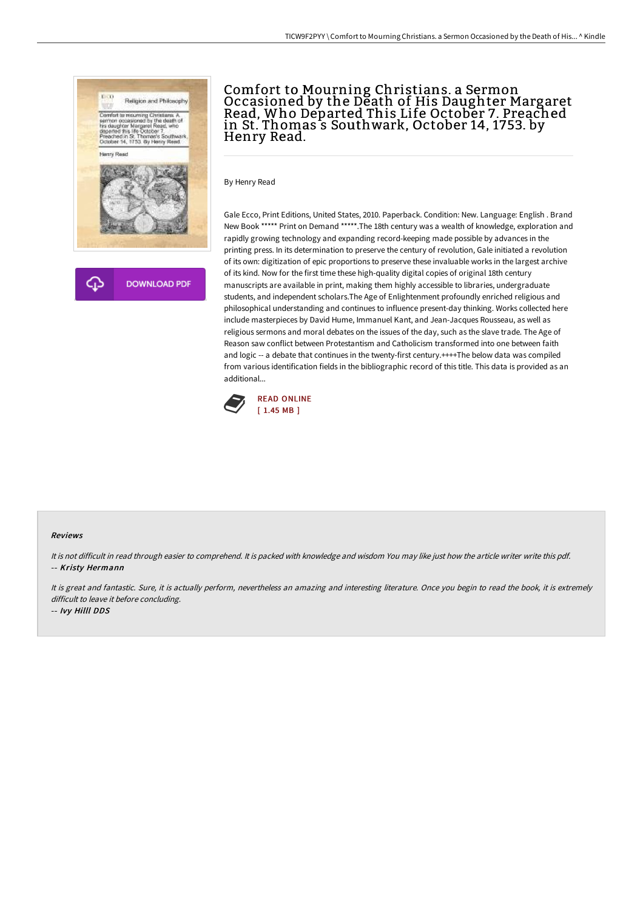

Ω **DOWNLOAD PDF** 

# Comfort to Mourning Christians. a Sermon Occasioned by the Death of His Daughter Margaret Read, Who Departed This Life October 7. Preached in St. Thomas's Southwark, October 14, 1753. by<br>Henry Read.

By Henry Read

Gale Ecco, Print Editions, United States, 2010. Paperback. Condition: New. Language: English . Brand New Book \*\*\*\*\* Print on Demand \*\*\*\*\*.The 18th century was a wealth of knowledge, exploration and rapidly growing technology and expanding record-keeping made possible by advances in the printing press. In its determination to preserve the century of revolution, Gale initiated a revolution of its own: digitization of epic proportions to preserve these invaluable works in the largest archive of its kind. Now for the first time these high-quality digital copies of original 18th century manuscripts are available in print, making them highly accessible to libraries, undergraduate students, and independent scholars.The Age of Enlightenment profoundly enriched religious and philosophical understanding and continues to influence present-day thinking. Works collected here include masterpieces by David Hume, Immanuel Kant, and Jean-Jacques Rousseau, as well as religious sermons and moral debates on the issues of the day, such as the slave trade. The Age of Reason saw conflict between Protestantism and Catholicism transformed into one between faith and logic -- a debate that continues in the twenty-first century.++++The below data was compiled from various identification fields in the bibliographic record of this title. This data is provided as an additional...



#### Reviews

It is not difficult in read through easier to comprehend. It is packed with knowledge and wisdom You may like just how the article writer write this pdf. -- Kristy Hermann

It is great and fantastic. Sure, it is actually perform, nevertheless an amazing and interesting literature. Once you begin to read the book, it is extremely difficult to leave it before concluding.

-- Ivy Hilll DDS